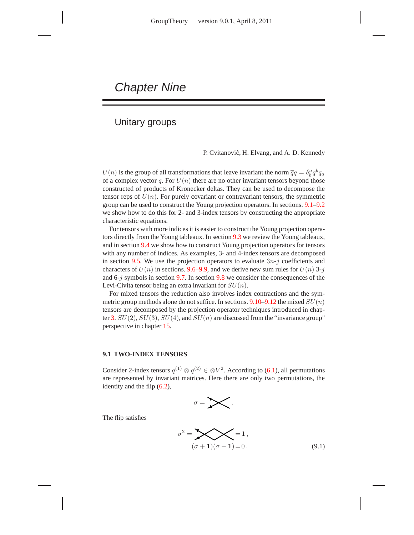# Chapter Nine

# Unitary groups

P. Cvitanović, H. Elvang, and A. D. Kennedy

 $U(n)$  is the group of all transformations that leave invariant the norm  $\overline{q}q = \delta_b^a q^b q_a$ of a complex vector q. For  $U(n)$  there are no other invariant tensors beyond those constructed of products of Kronecker deltas. They can be used to decompose the tensor reps of  $U(n)$ . For purely covariant or contravariant tensors, the symmetric group can be used to construct the Young projection operators. In sections. 9.1–9.2 we show how to do this for 2- and 3-index tensors by constructing the appropriate characteristic equations.

For tensors with more indices it is easier to construct the Young projection operators directly from the Young tableaux. In section 9.3 we review the Young tableaux, and in section 9.4 we show how to construct Young projection operators for tensors with any number of indices. As examples, 3- and 4-index tensors are decomposed in section 9.5. We use the projection operators to evaluate  $3n-j$  coefficients and characters of  $U(n)$  in sections. 9.6–9.9, and we derive new sum rules for  $U(n)$  3-j and 6-j symbols in section 9.7. In section 9.8 we consider the consequences of the Levi-Civita tensor being an extra invariant for  $SU(n)$ .

For mixed tensors the reduction also involves index contractions and the symmetric group methods alone do not suffice. In sections.  $9.10-9.12$  the mixed  $SU(n)$ tensors are decomposed by the projection operator techniques introduced in chapter 3.  $SU(2)$ ,  $SU(3)$ ,  $SU(4)$ , and  $SU(n)$  are discussed from the "invariance group" perspective in chapter 15.

### **9.1 TWO-INDEX TENSORS**

Consider 2-index tensors  $q^{(1)} \otimes q^{(2)} \in \mathbb{C}V^2$ . According to (6.1), all permutations are represented by invariant matrices. Here there are only two permutations, the identity and the flip (6.2),

$$
\sigma = \sum \cdot
$$

The flip satisfies

$$
\sigma^2 = \sum_{(\sigma+1)(\sigma-1)=0} = 1,
$$
\n(9.1)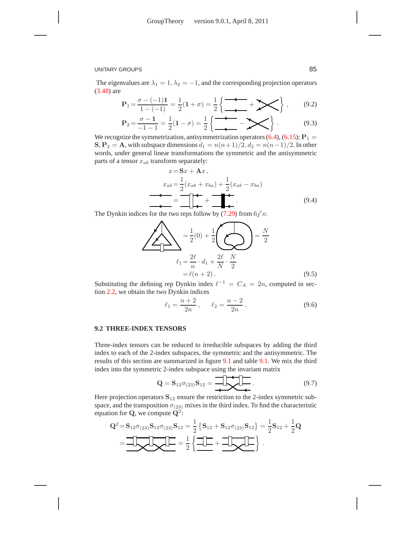The eigenvalues are  $\lambda_1 = 1, \lambda_2 = -1$ , and the corresponding projection operators (3.48) are

$$
\mathbf{P}_1 = \frac{\sigma - (-1)\mathbf{1}}{1 - (-1)} = \frac{1}{2}(1 + \sigma) = \frac{1}{2}\left\{\frac{\sigma}{\sigma} + \sum\right\},\qquad(9.2)
$$

$$
P_2 = \frac{\sigma - 1}{-1 - 1} = \frac{1}{2}(1 - \sigma) = \frac{1}{2} \left\{ \frac{-\sigma}{\sigma} - \sum_{i=1}^{n} \sigma_i \right\}.
$$
 (9.3)

We recognize the symmetrization, antisymmetrization operators  $(6.4)$ ,  $(6.15)$ ;  $P_1$  =  $S, P_2 = A$ , with subspace dimensions  $d_1 = n(n+1)/2$ ,  $d_2 = n(n-1)/2$ . In other words, under general linear transformations the symmetric and the antisymmetric parts of a tensor  $x_{ab}$  transform separately:

$$
x = Sx + Ax,
$$
  
\n
$$
x_{ab} = \frac{1}{2}(x_{ab} + x_{ba}) + \frac{1}{2}(x_{ab} - x_{ba})
$$
  
\n
$$
= \frac{1}{2} \left(1 + \frac{1}{2}(x_{ab} - x_{ba})\right)
$$
  
\nSo the true range follow by (7.20) from 6 d or

The Dynkin indices for the two reps follow by  $(7.29)$  from  $6j's$ :

$$
\sum_{\ell_1 = \frac{2\ell}{n} \cdot d_1 + \frac{2\ell}{N} \cdot \frac{N}{2}} \frac{1}{2} = \ell(n+2).
$$
\n(9.5)

Substituting the defining rep Dynkin index  $\ell^{-1} = C_A = 2n$ , computed in section 2.2, we obtain the two Dynkin indices

$$
\ell_1 = \frac{n+2}{2n}, \qquad \ell_2 = \frac{n-2}{2n} \,. \tag{9.6}
$$

#### **9.2 THREE-INDEX TENSORS**

Three-index tensors can be reduced to irreducible subspaces by adding the third index to each of the 2-index subspaces, the symmetric and the antisymmetric. The results of this section are summarized in figure 9.1 and table 9.1. We mix the third index into the symmetric 2-index subspace using the invariant matrix

$$
\mathbf{Q} = \mathbf{S}_{12}\sigma_{(23)}\mathbf{S}_{12} = \underbrace{\mathbf{I}_{\mathbf{I}_{12}}\mathbf{I}_{\mathbf{I}_{22}}\mathbf{I}_{\mathbf{I}_{12}}}_{\mathbf{I}_{12}}.
$$
\n(9.7)

Here projection operators  $S_{12}$  ensure the restriction to the 2-index symmetric subspace, and the transposition  $\sigma_{(23)}$  mixes in the third index. To find the characteristic equation for **Q**, we compute  $Q^2$ :

$$
Q^{2} = S_{12}\sigma_{(23)}S_{12}\sigma_{(23)}S_{12} = \frac{1}{2} \{S_{12} + S_{12}\sigma_{(23)}S_{12}\} = \frac{1}{2} S_{12} + \frac{1}{2} Q
$$

$$
= \frac{1}{2} \left\{ \frac{1}{2} + \frac{1}{2} Q \right\}.
$$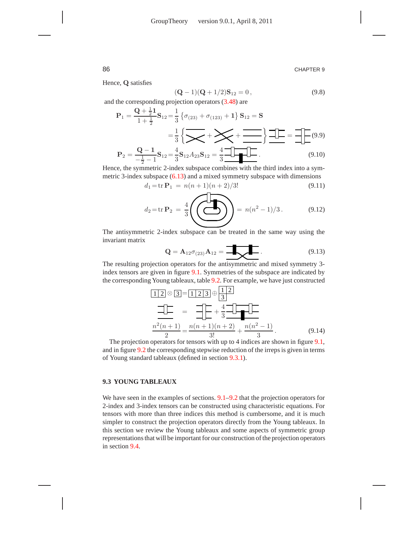Hence, Q satisfies

$$
(\mathbf{Q} - 1)(\mathbf{Q} + 1/2)\mathbf{S}_{12} = 0, \qquad (9.8)
$$

and the corresponding projection operators (3.48) are

$$
P_1 = \frac{Q + \frac{1}{2}I}{1 + \frac{1}{2}} S_{12} = \frac{1}{3} \left\{ \sigma_{(23)} + \sigma_{(123)} + I \right\} S_{12} = S
$$
  

$$
= \frac{1}{3} \left\{ \sum_{i=1}^{n} \left\{ \sum_{j=1}^{n} \left\{ \sum_{j=1}^{n} \left\{ \sum_{j=1}^{n} \left\{ \sum_{j=1}^{n} \left\{ \sum_{j=1}^{n} \left\{ \sum_{j=1}^{n} \left\{ \sum_{j=1}^{n} \left\{ \sum_{j=1}^{n} \left\{ \sum_{j=1}^{n} \left\{ \sum_{j=1}^{n} \left\{ \sum_{j=1}^{n} \left\{ \sum_{j=1}^{n} \left\{ \sum_{j=1}^{n} \left\{ \sum_{j=1}^{n} \left\{ \sum_{j=1}^{n} \left\{ \sum_{j=1}^{n} \left\{ \sum_{j=1}^{n} \left\{ \sum_{j=1}^{n} \left\{ \sum_{j=1}^{n} \left\{ \sum_{j=1}^{n} \left\{ \sum_{j=1}^{n} \left\{ \sum_{j=1}^{n} \left\{ \sum_{j=1}^{n} \left\{ \sum_{j=1}^{n} \left\{ \sum_{j=1}^{n} \left\{ \sum_{j=1}^{n} \left\{ \sum_{j=1}^{n} \left\{ \sum_{j=1}^{n} \left\{ \sum_{j=1}^{n} \left\{ \sum_{j=1}^{n} \left\{ \sum_{j=1}^{n} \left\{ \sum_{j=1}^{n} \left\{ \sum_{j=1}^{n} \left\{ \sum_{j=1}^{n} \left\{ \sum_{j=1}^{n} \left\{ \sum_{j=1}^{n} \left\{ \sum_{j=1}^{n} \left\{ \sum_{j=1}^{n} \left\{ \sum_{j=1}^{n} \left\{ \sum_{j=1}^{n} \left\{ \sum_{j=1}^{n} \left\{ \sum_{j=1}^{n} \left\{ \sum_{j=1}^{n} \left\{ \sum_{j=1}^{n} \left\{ \sum_{j=1}^{n} \left\{ \sum_{j=1}^{n} \left\{ \sum_{j=1
$$

Hence, the symmetric 2-index subspace combines with the third index into a symmetric 3-index subspace (6.13) and a mixed symmetry subspace with dimensions

$$
d_1 = \text{tr}\,\mathbf{P}_1 = n(n+1)(n+2)/3!\tag{9.11}
$$

$$
d_2 = \text{tr}\,\mathbf{P}_2 = \frac{4}{3} \left( \sum_{n=1}^{\infty} \mathbf{P}_2 - n(n^2 - 1)/3. \right) \tag{9.12}
$$

The antisymmetric 2-index subspace can be treated in the same way using the invariant matrix

$$
Q = A_{12}\sigma_{(23)}A_{12} = \underbrace{\qquad \qquad}_{}
$$
 (9.13)

The resulting projection operators for the antisymmetric and mixed symmetry 3 index tensors are given in figure 9.1. Symmetries of the subspace are indicated by the corresponding Young tableaux, table 9.2. For example, we have just constructed

$$
\frac{1}{2} \otimes 3 = 123 \oplus \frac{12}{3}
$$
\n
$$
\frac{1}{3} = \frac{1}{2} + \frac{4}{3} \frac{1}{2} = \frac{n(n+1)(n+2)}{2} + \frac{n(n^2 - 1)}{3}.
$$
\n(9.14)

The projection operators for tensors with up to 4 indices are shown in figure 9.1, and in figure 9.2 the corresponding stepwise reduction of the irreps is given in terms of Young standard tableaux (defined in section 9.3.1).

#### **9.3 YOUNG TABLEAUX**

We have seen in the examples of sections.  $9.1-9.2$  that the projection operators for 2-index and 3-index tensors can be constructed using characteristic equations. For tensors with more than three indices this method is cumbersome, and it is much simpler to construct the projection operators directly from the Young tableaux. In this section we review the Young tableaux and some aspects of symmetric group representations that will be important for our construction of the projection operators in section 9.4.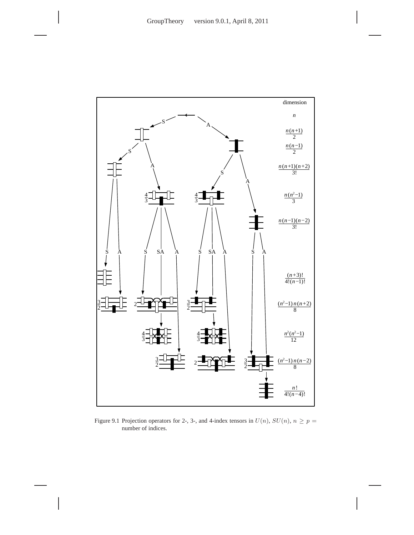

Figure 9.1 Projection operators for 2-, 3-, and 4-index tensors in  $U(n)$ ,  $SU(n)$ ,  $n \ge p =$ number of indices.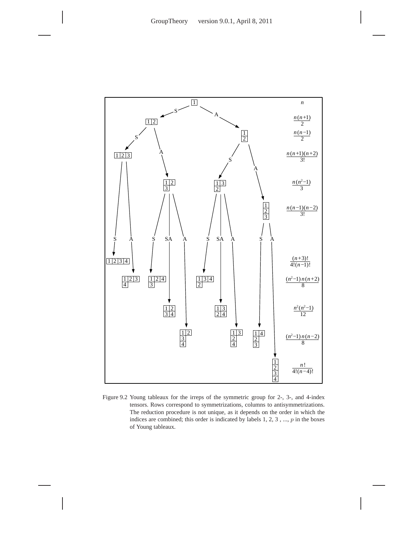

Figure 9.2 Young tableaux for the irreps of the symmetric group for 2-, 3-, and 4-index tensors. Rows correspond to symmetrizations, columns to antisymmetrizations. The reduction procedure is not unique, as it depends on the order in which the indices are combined; this order is indicated by labels  $1, 2, 3, \ldots, p$  in the boxes of Young tableaux.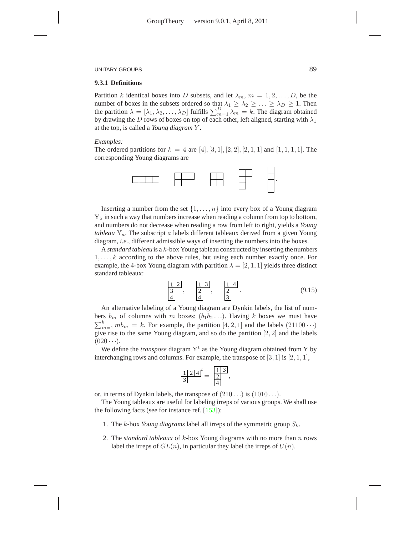#### **9.3.1 Definitions**

Partition k identical boxes into D subsets, and let  $\lambda_m$ ,  $m = 1, 2, \dots, D$ , be the number of boxes in the subsets ordered so that  $\lambda_1 \geq \lambda_2 \geq \ldots \geq \lambda_D \geq 1$ . Then the partition  $\lambda = [\lambda_1, \lambda_2, \dots, \lambda_D]$  fulfills  $\sum_{m=1}^{D} \lambda_m = k$ . The diagram obtained by drawing the D rows of boxes on top of each other, left aligned, starting with  $\lambda_1$ at the top, is called a *Young diagram* Y .

#### *Examples:*

The ordered partitions for  $k = 4$  are [4], [3, 1], [2, 2], [2, 1, 1] and [1, 1, 1, 1]. The corresponding Young diagrams are

![](_page_5_Figure_6.jpeg)

Inserting a number from the set  $\{1, \ldots, n\}$  into every box of a Young diagram  $Y_{\lambda}$  in such a way that numbers increase when reading a column from top to bottom, and numbers do not decrease when reading a row from left to right, yields a *Young tableau* Ya. The subscript a labels different tableaux derived from a given Young diagram, *i.e.*, different admissible ways of inserting the numbers into the boxes.

A *standard tableau* is a k-box Young tableau constructed by inserting the numbers  $1, \ldots, k$  according to the above rules, but using each number exactly once. For example, the 4-box Young diagram with partition  $\lambda = [2, 1, 1]$  yields three distinct standard tableaux:

$$
\frac{1}{3} \frac{2}{4}, \frac{1}{4} \frac{3}{4}, \frac{1}{3} \tag{9.15}
$$

An alternative labeling of a Young diagram are Dynkin labels, the list of numbers  $b_m$  of columns with m boxes:  $(b_1b_2...)$ . Having k boxes we must have  $\sum_{m=1}^{k} mb_m = k$ . For example, the partition [4, 2, 1] and the labels (21100 $\cdots$ ) give rise to the same Young diagram, and so do the partition [2, 2] and the labels  $(020 \cdots).$ 

We define the *transpose* diagram  $Y<sup>t</sup>$  as the Young diagram obtained from Y by interchanging rows and columns. For example, the transpose of  $[3, 1]$  is  $[2, 1, 1]$ ,

$$
\frac{1}{3} \frac{2}{4} 4^t = \frac{1}{2} \frac{3}{4},
$$

or, in terms of Dynkin labels, the transpose of  $(210...)$  is  $(1010...)$ .

The Young tableaux are useful for labeling irreps of various groups. We shall use the following facts (see for instance ref. [153]):

- 1. The k-box *Young diagrams* label all irreps of the symmetric group  $S_k$ .
- 2. The *standard tableaux* of k-box Young diagrams with no more than n rows label the irreps of  $GL(n)$ , in particular they label the irreps of  $U(n)$ .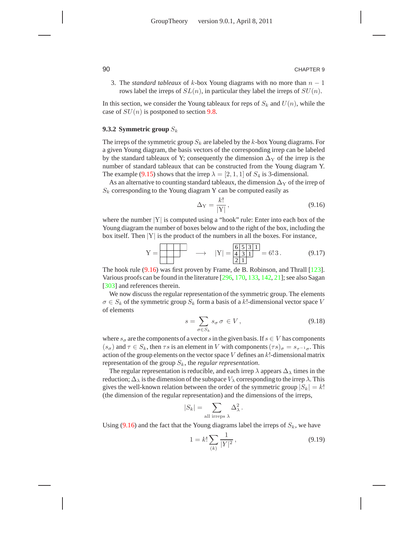3. The *standard tableaux* of k-box Young diagrams with no more than n − 1 rows label the irreps of  $SL(n)$ , in particular they label the irreps of  $SU(n)$ .

In this section, we consider the Young tableaux for reps of  $S_k$  and  $U(n)$ , while the case of  $SU(n)$  is postponed to section 9.8.

#### **9.3.2 Symmetric group** S<sup>k</sup>

The irreps of the symmetric group  $S_k$  are labeled by the k-box Young diagrams. For a given Young diagram, the basis vectors of the corresponding irrep can be labeled by the standard tableaux of Y; consequently the dimension  $\Delta_Y$  of the irrep is the number of standard tableaux that can be constructed from the Young diagram Y. The example (9.15) shows that the irrep  $\lambda = [2, 1, 1]$  of  $S_4$  is 3-dimensional.

As an alternative to counting standard tableaux, the dimension  $\Delta_Y$  of the irrep of  $S_k$  corresponding to the Young diagram Y can be computed easily as

$$
\Delta_Y = \frac{k!}{|Y|},\tag{9.16}
$$

where the number  $|Y|$  is computed using a "hook" rule: Enter into each box of the Young diagram the number of boxes below and to the right of the box, including the box itself. Then  $|Y|$  is the product of the numbers in all the boxes. For instance,

Y = −→ |Y| = 6 5 3 1 34 2 1 1 = 6! 3 . (9.17)

The hook rule (9.16) was first proven by Frame, de B. Robinson, and Thrall [123]. Various proofs can be found in the literature [296, 170, 133, 142, 21]; see also Sagan [303] and references therein.

We now discuss the regular representation of the symmetric group. The elements  $\sigma \in S_k$  of the symmetric group  $S_k$  form a basis of a k!-dimensional vector space V of elements

$$
s = \sum_{\sigma \in S_k} s_{\sigma} \sigma \in V, \qquad (9.18)
$$

where  $s_{\sigma}$  are the components of a vector s in the given basis. If  $s \in V$  has components  $(s_{\sigma})$  and  $\tau \in S_k$ , then  $\tau s$  is an element in V with components  $(\tau s)_{\sigma} = s_{\tau^{-1}\sigma}$ . This action of the group elements on the vector space  $V$  defines an  $k!$ -dimensional matrix representation of the group Sk, the *regular representation*.

The regular representation is reducible, and each irrep  $\lambda$  appears  $\Delta_{\lambda}$  times in the reduction;  $\Delta_{\lambda}$  is the dimension of the subspace  $V_{\lambda}$  corresponding to the irrep  $\lambda$ . This gives the well-known relation between the order of the symmetric group  $|S_k| = k!$ (the dimension of the regular representation) and the dimensions of the irreps,

$$
|S_k| = \sum_{\text{all irreps }\lambda} \Delta_\lambda^2
$$

Using (9.16) and the fact that the Young diagrams label the irreps of  $S_k$ , we have

$$
1 = k! \sum_{(k)} \frac{1}{|Y|^2},\tag{9.19}
$$

.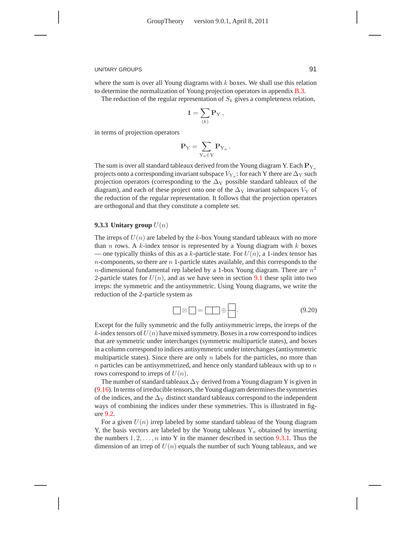where the sum is over all Young diagrams with  $k$  boxes. We shall use this relation to determine the normalization of Young projection operators in appendix B.3.

The reduction of the regular representation of  $S_k$  gives a completeness relation,

$$
\mathbf{1} = \sum_{(k)} \mathbf{P}_\mathrm{Y} \,,
$$

in terms of projection operators

$$
\mathbf{P}_{\mathrm{Y}} = \sum_{\mathrm{Y}_a \in \mathrm{Y}} \mathbf{P}_{\mathrm{Y}_a} \, .
$$

The sum is over all standard tableaux derived from the Young diagram Y. Each  $P_{Y_a}$ projects onto a corresponding invariant subspace  $V_{\rm Y_a}$  : for each Y there are  $\Delta_{\rm Y}$  such projection operators (corresponding to the  $\Delta_Y$  possible standard tableaux of the diagram), and each of these project onto one of the  $\Delta_Y$  invariant subspaces  $V_Y$  of the reduction of the regular representation. It follows that the projection operators are orthogonal and that they constitute a complete set.

### **9.3.3 Unitary group**  $U(n)$

The irreps of  $U(n)$  are labeled by the k-box Young standard tableaux with no more than n rows. A k-index tensor is represented by a Young diagram with  $k$  boxes — one typically thinks of this as a k-particle state. For  $U(n)$ , a 1-index tensor has  $n$ -components, so there are  $n_1$ -particle states available, and this corresponds to the *n*-dimensional fundamental rep labeled by a 1-box Young diagram. There are  $n^2$ 2-particle states for  $U(n)$ , and as we have seen in section 9.1 these split into two irreps: the symmetric and the antisymmetric. Using Young diagrams, we write the reduction of the 2-particle system as

$$
\Box \otimes \Box = \Box \oplus \Box \ . \tag{9.20}
$$

Except for the fully symmetric and the fully antisymmetric irreps, the irreps of the  $k$ -index tensors of  $U(n)$  have mixed symmetry. Boxes in a row correspond to indices that are symmetric under interchanges (symmetric multiparticle states), and boxes in a column correspond to indices antisymmetric under interchanges (antisymmetric multiparticle states). Since there are only  $n$  labels for the particles, no more than  $n$  particles can be antisymmetrized, and hence only standard tableaux with up to  $n$ rows correspond to irreps of  $U(n)$ .

The number of standard tableaux  $\Delta_Y$  derived from a Young diagram Y is given in (9.16). In terms of irreducible tensors, the Young diagram determines the symmetries of the indices, and the  $\Delta_Y$  distinct standard tableaux correspond to the independent ways of combining the indices under these symmetries. This is illustrated in figure 9.2.

For a given  $U(n)$  irrep labeled by some standard tableau of the Young diagram Y, the basis vectors are labeled by the Young tableaux  $Y_a$  obtained by inserting the numbers  $1, 2, \ldots, n$  into Y in the manner described in section 9.3.1. Thus the dimension of an irrep of  $U(n)$  equals the number of such Young tableaux, and we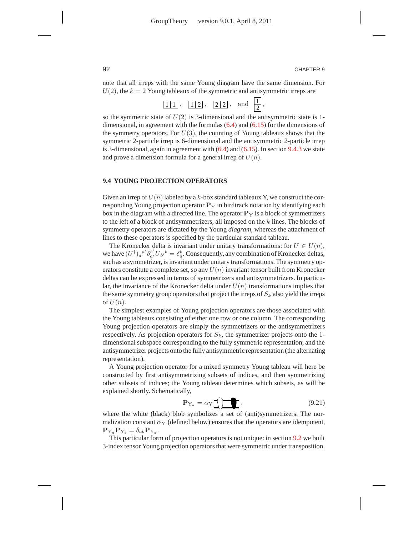,

note that all irreps with the same Young diagram have the same dimension. For  $U(2)$ , the  $k = 2$  Young tableaux of the symmetric and antisymmetric irreps are

so the symmetric state of  $U(2)$  is 3-dimensional and the antisymmetric state is 1dimensional, in agreement with the formulas (6.4) and (6.15) for the dimensions of the symmetry operators. For  $U(3)$ , the counting of Young tableaux shows that the symmetric 2-particle irrep is 6-dimensional and the antisymmetric 2-particle irrep is 3-dimensional, again in agreement with (6.4) and (6.15). In section 9.4.3 we state and prove a dimension formula for a general irrep of  $U(n)$ .

#### **9.4 YOUNG PROJECTION OPERATORS**

Given an irrep of  $U(n)$  labeled by a k-box standard tableaux Y, we construct the corresponding Young projection operator  $P_Y$  in birdtrack notation by identifying each box in the diagram with a directed line. The operator  $P<sub>Y</sub>$  is a block of symmetrizers to the left of a block of antisymmetrizers, all imposed on the  $k$  lines. The blocks of symmetry operators are dictated by the Young *diagram*, whereas the attachment of lines to these operators is specified by the particular standard tableau.

The Kronecker delta is invariant under unitary transformations: for  $U \in U(n)$ , we have  $(U^{\dagger})_a{}^{a'} \delta_{a'}^{b'} U_{b'}{}^{b} = \delta_a^b$ . Consequently, any combination of Kronecker deltas, such as a symmetrizer, is invariant under unitary transformations. The symmetry operators constitute a complete set, so any  $U(n)$  invariant tensor built from Kronecker deltas can be expressed in terms of symmetrizers and antisymmetrizers. In particular, the invariance of the Kronecker delta under  $U(n)$  transformations implies that the same symmetry group operators that project the irreps of  $S_k$  also yield the irreps of  $U(n)$ .

The simplest examples of Young projection operators are those associated with the Young tableaux consisting of either one row or one column. The corresponding Young projection operators are simply the symmetrizers or the antisymmetrizers respectively. As projection operators for  $S_k$ , the symmetrizer projects onto the 1dimensional subspace corresponding to the fully symmetric representation, and the antisymmetrizer projects onto the fully antisymmetric representation (the alternating representation).

A Young projection operator for a mixed symmetry Young tableau will here be constructed by first antisymmetrizing subsets of indices, and then symmetrizing other subsets of indices; the Young tableau determines which subsets, as will be explained shortly. Schematically,

$$
\mathbf{P}_{Y_a} = \alpha_Y \underbrace{\text{Tr}}_{\mathbf{X}} \tag{9.21}
$$

where the white (black) blob symbolizes a set of (anti)symmetrizers. The normalization constant  $\alpha_Y$  (defined below) ensures that the operators are idempotent,  ${\bf P}_{{\rm Y}_a} {\bf P}_{{\rm Y}_b} = \delta_{ab} {\bf P}_{{\rm Y}_a}.$ 

This particular form of projection operators is not unique: in section 9.2 we built 3-index tensor Young projection operators that were symmetric under transposition.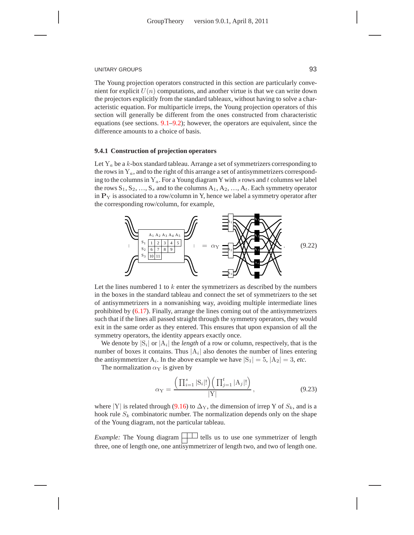The Young projection operators constructed in this section are particularly convenient for explicit  $U(n)$  computations, and another virtue is that we can write down the projectors explicitly from the standard tableaux, without having to solve a characteristic equation. For multiparticle irreps, the Young projection operators of this section will generally be different from the ones constructed from characteristic equations (see sections. 9.1–9.2); however, the operators are equivalent, since the difference amounts to a choice of basis.

#### **9.4.1 Construction of projection operators**

Let  $Y_a$  be a k-box standard tableau. Arrange a set of symmetrizers corresponding to the rows in  $Y_a$ , and to the right of this arrange a set of antisymmetrizers corresponding to the columns in  $Y_a$ . For a Young diagram Y with s rows and t columns we label the rows  $S_1, S_2, ..., S_s$  and to the columns  $A_1, A_2, ..., A_t$ . Each symmetry operator in  $P<sub>Y</sub>$  is associated to a row/column in Y, hence we label a symmetry operator after the corresponding row/column, for example,

![](_page_9_Figure_5.jpeg)

Let the lines numbered 1 to  $k$  enter the symmetrizers as described by the numbers in the boxes in the standard tableau and connect the set of symmetrizers to the set of antisymmetrizers in a nonvanishing way, avoiding multiple intermediate lines prohibited by (6.17). Finally, arrange the lines coming out of the antisymmetrizers such that if the lines all passed straight through the symmetry operators, they would exit in the same order as they entered. This ensures that upon expansion of all the symmetry operators, the identity appears exactly once.

We denote by  $|S_i|$  or  $|A_i|$  the *length* of a row or column, respectively, that is the number of boxes it contains. Thus  $|A_i|$  also denotes the number of lines entering the antisymmetrizer  $A_i$ . In the above example we have  $|S_1| = 5$ ,  $|A_2| = 3$ , *etc.* 

The normalization  $\alpha_Y$  is given by

$$
\alpha_{Y} = \frac{\left(\prod_{i=1}^{s} |S_{i}|!\right)\left(\prod_{j=1}^{t} |A_{j}|!\right)}{|Y|},
$$
\n(9.23)

where |Y| is related through (9.16) to  $\Delta$ <sub>Y</sub>, the dimension of irrep Y of  $S_k$ , and is a hook rule  $S_k$  combinatoric number. The normalization depends only on the shape of the Young diagram, not the particular tableau.

*Example:* The Young diagram  $\Box$  tells us to use one symmetrizer of length three, one of length one, one antisymmetrizer of length two, and two of length one.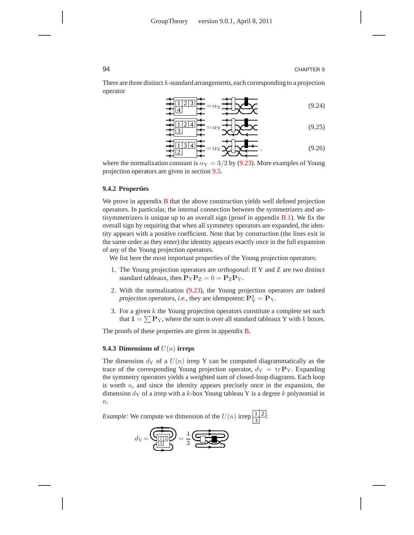There are three distinct  $k$ -standard arrangements, each corresponding to a projection operator

$$
\frac{1}{2}
$$
\n
$$
\frac{1}{4}
$$
\n
$$
= \alpha_{\text{Y}} \frac{1}{2}
$$
\n(9.24)

$$
\frac{1}{2} \frac{1}{3} = \alpha_{\text{Y}} \frac{1}{2} \frac{1}{2} \times \frac{1}{2} \times \frac{1}{2} \times \frac{1}{2} \times \frac{1}{2} \times \frac{1}{2} \times \frac{1}{2} \times \frac{1}{2} \times \frac{1}{2} \times \frac{1}{2} \times \frac{1}{2} \times \frac{1}{2} \times \frac{1}{2} \times \frac{1}{2} \times \frac{1}{2} \times \frac{1}{2} \times \frac{1}{2} \times \frac{1}{2} \times \frac{1}{2} \times \frac{1}{2} \times \frac{1}{2} \times \frac{1}{2} \times \frac{1}{2} \times \frac{1}{2} \times \frac{1}{2} \times \frac{1}{2} \times \frac{1}{2} \times \frac{1}{2} \times \frac{1}{2} \times \frac{1}{2} \times \frac{1}{2} \times \frac{1}{2} \times \frac{1}{2} \times \frac{1}{2} \times \frac{1}{2} \times \frac{1}{2} \times \frac{1}{2} \times \frac{1}{2} \times \frac{1}{2} \times \frac{1}{2} \times \frac{1}{2} \times \frac{1}{2} \times \frac{1}{2} \times \frac{1}{2} \times \frac{1}{2} \times \frac{1}{2} \times \frac{1}{2} \times \frac{1}{2} \times \frac{1}{2} \times \frac{1}{2} \times \frac{1}{2} \times \frac{1}{2} \times \frac{1}{2} \times \frac{1}{2} \times \frac{1}{2} \times \frac{1}{2} \times \frac{1}{2} \times \frac{1}{2} \times \frac{1}{2} \times \frac{1}{2} \times \frac{1}{2} \times \frac{1}{2} \times \frac{1}{2} \times \frac{1}{2} \times \frac{1}{2} \times \frac{1}{2} \times \frac{1}{2} \times \frac{1}{2} \times \frac{1}{2} \times \frac{1}{2} \times \frac{1}{2} \times \frac{1}{2} \times \frac{1}{2} \times \frac{1}{2} \times \frac{1}{2} \times \frac{1}{2} \times \frac{1}{2} \times \frac{1}{2} \times \frac{1}{2} \times \frac{1}{2} \times \frac{1}{2} \times \
$$

$$
\frac{1}{2} \frac{1}{2} \frac{3}{4} = \alpha_Y \frac{1}{2} \sqrt{2} \sqrt{2} \sqrt{2} \tag{9.26}
$$

where the normalization constant is  $\alpha_Y = 3/2$  by (9.23). More examples of Young projection operators are given in section 9.5.

#### **9.4.2 Properties**

We prove in appendix **B** that the above construction yields well defined projection operators. In particular, the internal connection between the symmetrizers and antisymmetrizers is unique up to an overall sign (proof in appendix B.1). We fix the overall sign by requiring that when all symmetry operators are expanded, the identity appears with a positive coefficient. Note that by construction (the lines exit in the same order as they enter) the identity appears exactly once in the full expansion of any of the Young projection operators.

We list here the most important properties of the Young projection operators:

- 1. The Young projection operators are *orthogonal*: If Y and Z are two distinct standard tableaux, then  $P_{Y}P_{Z} = 0 = P_{Z}P_{Y}$ .
- 2. With the normalization (9.23), the Young projection operators are indeed *projection operators, i.e., they are idempotent:*  $\mathbf{P}_{\mathrm{Y}}^2 = \mathbf{P}_{\mathrm{Y}}$ *.*
- 3. For a given  $k$  the Young projection operators constitute a complete set such that  $1 = \sum \mathbf{P}_Y$ , where the sum is over all standard tableaux Y with k boxes.

The proofs of these properties are given in appendix **B**.

#### **9.4.3 Dimensions of** U(n) **irreps**

The dimension  $d_Y$  of a  $U(n)$  irrep Y can be computed diagrammatically as the trace of the corresponding Young projection operator,  $d_Y = \text{tr } P_Y$ . Expanding the symmetry operators yields a weighted sum of closed-loop diagrams. Each loop is worth  $n$ , and since the identity appears precisely once in the expansion, the dimension  $d_Y$  of a irrep with a k-box Young tableau Y is a degree k polynomial in  $\overline{n}$ .

*Example:* We compute we dimension of the  $U(n)$  irrep  $\frac{1}{3}$  $rac{1}{2}$ :

![](_page_10_Figure_17.jpeg)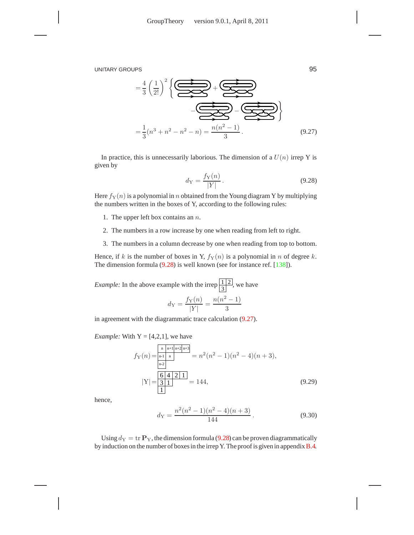$$
=\frac{4}{3}\left(\frac{1}{2!}\right)^2 \left\{\underbrace{\underbrace{\bigoplus\bigcup\limits_{n=1}^{n}x_{2n}}_{-\underbrace{\bigoplus\limits_{n=1}^{n}x_{2n}}_{3}+\underbrace{\bigoplus\limits_{n=1}^{n}x_{2n}}_{3}\right\}}_{\text{(9.27)}}
$$

In practice, this is unnecessarily laborious. The dimension of a  $U(n)$  irrep Y is given by

$$
d_Y = \frac{f_Y(n)}{|Y|}.
$$
\n
$$
(9.28)
$$

Here  $f_Y(n)$  is a polynomial in n obtained from the Young diagram Y by multiplying the numbers written in the boxes of Y, according to the following rules:

- 1. The upper left box contains an  $n$ .
- 2. The numbers in a row increase by one when reading from left to right.
- 3. The numbers in a column decrease by one when reading from top to bottom.

Hence, if k is the number of boxes in Y,  $f_Y(n)$  is a polynomial in n of degree k. The dimension formula (9.28) is well known (see for instance ref. [138]).

*Example:* In the above example with the irrep  $\frac{1}{3}$  $\frac{1}{2}$ , we have  $d_Y = \frac{f_Y(n)}{|Y|}$  $\frac{y(n)}{|Y|} = \frac{n(n^2-1)}{3}$ 3

in agreement with the diagrammatic trace calculation (9.27).

*Example:* With  $Y = \{4, 2, 1\}$ , we have

$$
f_{\mathbf{Y}}(n) = \frac{\frac{\mathbf{n} \cdot \mathbf{n} + \mathbf{1} \cdot \mathbf{n} + 2\mathbf{n} + 3\mathbf{n} - 3\mathbf{n}}{\mathbf{n} \cdot 2}}{\frac{\mathbf{n} \cdot \mathbf{n} - 2}{\mathbf{n} \cdot 2}} = n^2(n^2 - 1)(n^2 - 4)(n + 3),
$$
  
\n
$$
|\mathbf{Y}| = \frac{\frac{6}{3} \cdot 4 \cdot 2 \cdot 1}{1} = 144,
$$
\n(9.29)

hence,

$$
d_{\rm Y} = \frac{n^2(n^2 - 1)(n^2 - 4)(n + 3)}{144}.
$$
\n(9.30)

Using  $d_Y = \text{tr } \mathbf{P}_Y$ , the dimension formula (9.28) can be proven diagrammatically by induction on the number of boxes in the irrep Y. The proof is given in appendixB.4.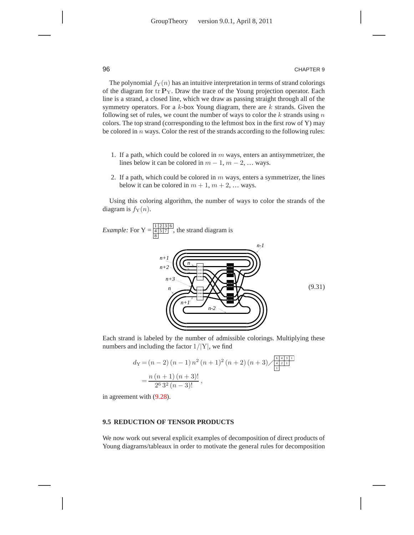The polynomial  $f_Y(n)$  has an intuitive interpretation in terms of strand colorings of the diagram for  $tr P_Y$ . Draw the trace of the Young projection operator. Each line is a strand, a closed line, which we draw as passing straight through all of the symmetry operators. For a  $k$ -box Young diagram, there are  $k$  strands. Given the following set of rules, we count the number of ways to color the  $k$  strands using  $n$ colors. The top strand (corresponding to the leftmost box in the first row of Y) may be colored in  $n$  ways. Color the rest of the strands according to the following rules:

- 1. If a path, which could be colored in  $m$  ways, enters an antisymmetrizer, the lines below it can be colored in  $m - 1$ ,  $m - 2$ , ... ways.
- 2. If a path, which could be colored in  $m$  ways, enters a symmetrizer, the lines below it can be colored in  $m + 1$ ,  $m + 2$ , ... ways.

Using this coloring algorithm, the number of ways to color the strands of the diagram is  $f_Y(n)$ .

![](_page_12_Figure_6.jpeg)

Each strand is labeled by the number of admissible colorings. Multiplying these numbers and including the factor  $1/|Y|$ , we find

$$
d_{\mathcal{Y}} = (n-2)(n-1)n^2(n+1)^2(n+2)(n+3)\sqrt{\frac{\frac{6}{4}+\frac{1}{2}+1}{\frac{1}{2}}} \\
= \frac{n(n+1)(n+3)!}{2^6 \cdot 3^2 (n-3)!},
$$

in agreement with (9.28).

# **9.5 REDUCTION OF TENSOR PRODUCTS**

We now work out several explicit examples of decomposition of direct products of Young diagrams/tableaux in order to motivate the general rules for decomposition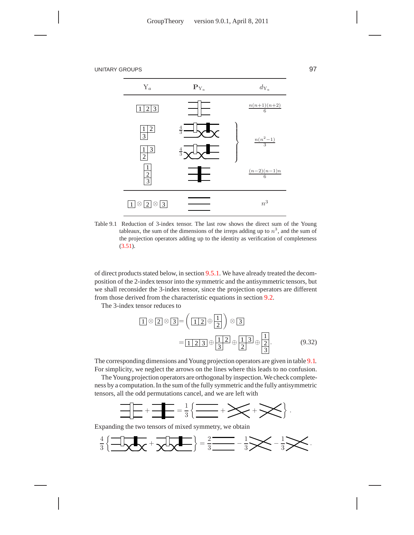![](_page_13_Figure_2.jpeg)

Table 9.1 Reduction of 3-index tensor. The last row shows the direct sum of the Young tableaux, the sum of the dimensions of the irreps adding up to  $n<sup>3</sup>$ , and the sum of the projection operators adding up to the identity as verification of completeness (3.51).

of direct products stated below, in section 9.5.1. We have already treated the decomposition of the 2-index tensor into the symmetric and the antisymmetric tensors, but we shall reconsider the 3-index tensor, since the projection operators are different from those derived from the characteristic equations in section 9.2.

The 3-index tensor reduces to

$$
\boxed{1} \otimes \boxed{2} \otimes \boxed{3} = \left(\boxed{1\ 2} \oplus \boxed{1} \right) \otimes \boxed{3}
$$

$$
= \boxed{1\ 2\ 3} \oplus \boxed{1\ 2} \oplus \boxed{1\ 3} \oplus \boxed{2}.
$$
(9.32)

The corresponding dimensions and Young projection operators are given in table 9.1. For simplicity, we neglect the arrows on the lines where this leads to no confusion.

The Young projection operators are orthogonal by inspection. We check completeness by a computation. In the sum of the fully symmetric and the fully antisymmetric tensors, all the odd permutations cancel, and we are left with

![](_page_13_Figure_9.jpeg)

Expanding the two tensors of mixed symmetry, we obtain

![](_page_13_Figure_11.jpeg)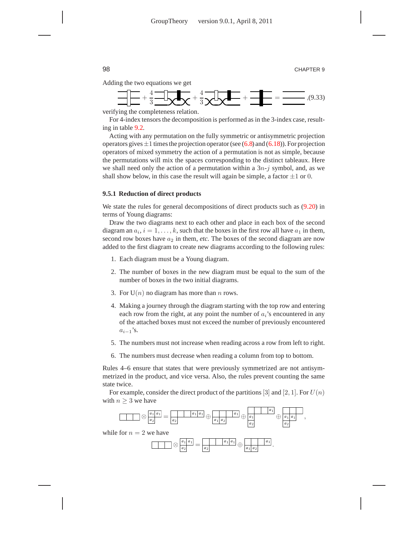Adding the two equations we get

![](_page_14_Figure_3.jpeg)

verifying the completeness relation.

For 4-index tensors the decomposition is performed as in the 3-index case, resulting in table 9.2.

Acting with any permutation on the fully symmetric or antisymmetric projection operators gives  $\pm 1$  times the projection operator (see (6.8) and (6.18)). For projection operators of mixed symmetry the action of a permutation is not as simple, because the permutations will mix the spaces corresponding to the distinct tableaux. Here we shall need only the action of a permutation within a  $3n-j$  symbol, and, as we shall show below, in this case the result will again be simple, a factor  $\pm 1$  or 0.

#### **9.5.1 Reduction of direct products**

We state the rules for general decompositions of direct products such as  $(9.20)$  in terms of Young diagrams:

Draw the two diagrams next to each other and place in each box of the second diagram an  $a_i$ ,  $i = 1, \ldots, k$ , such that the boxes in the first row all have  $a_1$  in them, second row boxes have  $a_2$  in them, *etc*. The boxes of the second diagram are now added to the first diagram to create new diagrams according to the following rules:

- 1. Each diagram must be a Young diagram.
- 2. The number of boxes in the new diagram must be equal to the sum of the number of boxes in the two initial diagrams.
- 3. For  $U(n)$  no diagram has more than *n* rows.
- 4. Making a journey through the diagram starting with the top row and entering each row from the right, at any point the number of  $a_i$ 's encountered in any of the attached boxes must not exceed the number of previously encountered  $a_{i-1}$ 's.
- 5. The numbers must not increase when reading across a row from left to right.
- 6. The numbers must decrease when reading a column from top to bottom.

Rules 4–6 ensure that states that were previously symmetrized are not antisymmetrized in the product, and vice versa. Also, the rules prevent counting the same state twice.

For example, consider the direct product of the partitions [3] and [2, 1]. For  $U(n)$ with  $n \geq 3$  we have

![](_page_14_Figure_18.jpeg)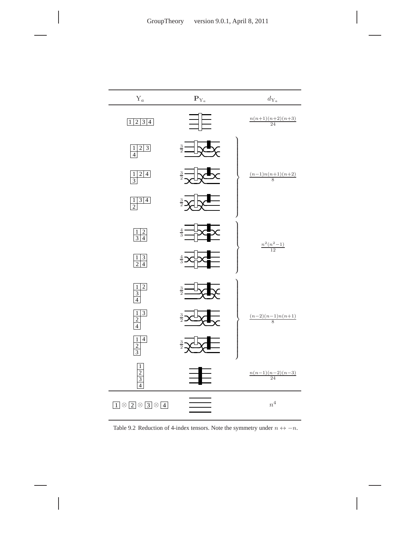![](_page_15_Figure_1.jpeg)

Table 9.2 Reduction of 4-index tensors. Note the symmetry under  $n \leftrightarrow -n$ .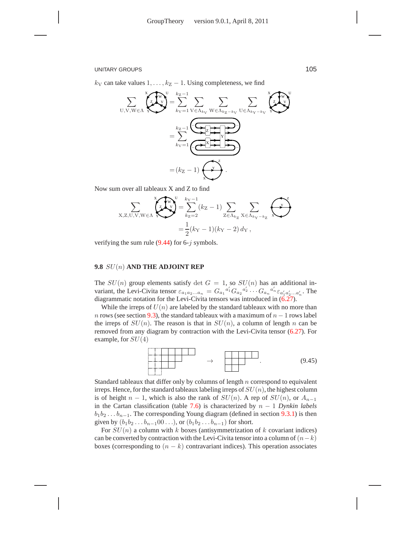### **9.8** SU(n) **AND THE ADJOINT REP**

The  $SU(n)$  group elements satisfy det  $G = 1$ , so  $SU(n)$  has an additional invariant, the Levi-Civita tensor  $\varepsilon_{a_1a_2...a_n} = G_{a_1}{}^{a'_1}G_{a_2}{}^{a'_2} \cdots G_{a_n}{}^{a'_n} \varepsilon_{a'_1a'_2...a'_n}$ . The diagrammatic notation for the Levi-Civita tensors was introduced in (6.27).

While the irreps of  $U(n)$  are labeled by the standard tableaux with no more than n rows (see section 9.3), the standard tableaux with a maximum of  $n - 1$  rows label the irreps of  $SU(n)$ . The reason is that in  $SU(n)$ , a column of length n can be removed from any diagram by contraction with the Levi-Civita tensor (6.27). For example, for  $SU(4)$ 

![](_page_16_Figure_3.jpeg)

Standard tableaux that differ only by columns of length  $n$  correspond to equivalent irreps. Hence, for the standard tableaux labeling irreps of  $SU(n)$ , the highest column is of height  $n-1$ , which is also the rank of  $SU(n)$ . A rep of  $SU(n)$ , or  $A_{n-1}$ in the Cartan classification (table 7.6) is characterized by n − 1 *Dynkin labels*  $b_1b_2 \ldots b_{n-1}$ . The corresponding Young diagram (defined in section 9.3.1) is then given by  $(b_1b_2...b_{n-1}00...)$ , or  $(b_1b_2...b_{n-1})$  for short.

For  $SU(n)$  a column with k boxes (antisymmetrization of k covariant indices) can be converted by contraction with the Levi-Civita tensor into a column of  $(n-k)$ boxes (corresponding to  $(n - k)$  contravariant indices). This operation associates